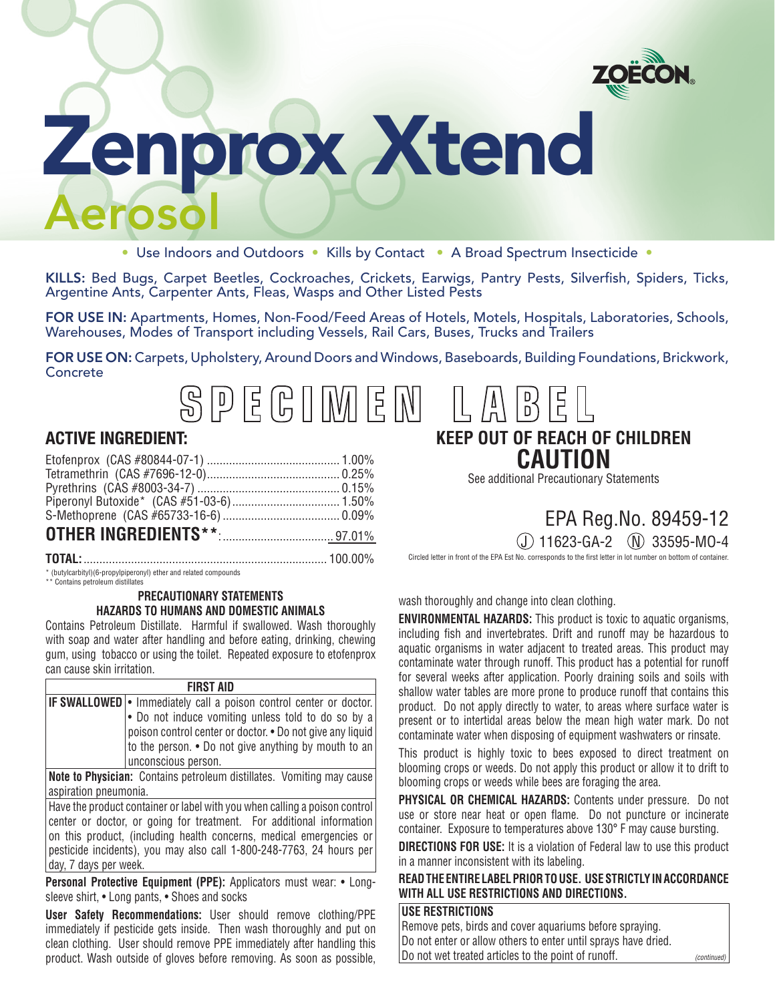

# Zenprox Xtend roso

• Use Indoors and Outdoors • Kills by Contact • A Broad Spectrum Insecticide •

KILLS: Bed Bugs, Carpet Beetles, Cockroaches, Crickets, Earwigs, Pantry Pests, Silverfish, Spiders, Ticks, Argentine Ants, Carpenter Ants, Fleas, Wasps and Other Listed Pests

FOR USE IN: Apartments, Homes, Non-Food/Feed Areas of Hotels, Motels, Hospitals, Laboratories, Schools, Warehouses, Modes of Transport including Vessels, Rail Cars, Buses, Trucks and Trailers

FOR USE ON: Carpets, Upholstery, Around Doors and Windows, Baseboards, Building Foundations, Brickwork, Concrete

SPECIMEM

### **ACTIVE INGREDIENT:**

#### **TOTAL:**............................................................................. 100.00%

\* (butylcarbityl)(6-propylpiperonyl) ether and related compounds

\*\* Contains petroleum distillates

#### **PRECAUTIONARY STATEMENTS HAZARDS TO HUMANS AND DOMESTIC ANIMALS**

Contains Petroleum Distillate. Harmful if swallowed. Wash thoroughly with soap and water after handling and before eating, drinking, chewing gum, using tobacco or using the toilet. Repeated exposure to etofenprox can cause skin irritation.

| <b>FIRST AID</b>                                                             |                                                                     |  |
|------------------------------------------------------------------------------|---------------------------------------------------------------------|--|
|                                                                              | IF SWALLOWED  • Immediately call a poison control center or doctor. |  |
|                                                                              | $\cdot$ Do not induce vomiting unless told to do so by a            |  |
|                                                                              | poison control center or doctor. • Do not give any liquid           |  |
|                                                                              | to the person. $\bullet$ Do not give anything by mouth to an        |  |
|                                                                              | unconscious person.                                                 |  |
| <b>Note to Physician:</b> Contains petroleum distillates. Vomiting may cause |                                                                     |  |
|                                                                              |                                                                     |  |

aspiration pneumonia. Have the product container or label with you when calling a poison control center or doctor, or going for treatment. For additional information on this product, (including health concerns, medical emergencies or pesticide incidents), you may also call 1-800-248-7763, 24 hours per day, 7 days per week.

**Personal Protective Equipment (PPE):** Applicators must wear: • Longsleeve shirt, • Long pants, • Shoes and socks

**User Safety Recommendations:** User should remove clothing/PPE immediately if pesticide gets inside. Then wash thoroughly and put on clean clothing. User should remove PPE immediately after handling this product. Wash outside of gloves before removing. As soon as possible,

**KEEP OUT OF REACH OF CHILDREN CAUTION**

 $D$ 

See additional Precautionary Statements

## EPA Reg.No. 89459-12

(J) 11623-GA-2 (N)33595-MO-4

Circled letter in front of the EPA Est No. corresponds to the first letter in lot number on bottom of container.

wash thoroughly and change into clean clothing.

**ENVIRONMENTAL HAZARDS:** This product is toxic to aquatic organisms, including fish and invertebrates. Drift and runoff may be hazardous to aquatic organisms in water adjacent to treated areas. This product may contaminate water through runoff. This product has a potential for runoff for several weeks after application. Poorly draining soils and soils with shallow water tables are more prone to produce runoff that contains this product. Do not apply directly to water, to areas where surface water is present or to intertidal areas below the mean high water mark. Do not contaminate water when disposing of equipment washwaters or rinsate.

This product is highly toxic to bees exposed to direct treatment on blooming crops or weeds. Do not apply this product or allow it to drift to blooming crops or weeds while bees are foraging the area.

**PHYSICAL OR CHEMICAL HAZARDS:** Contents under pressure. Do not use or store near heat or open flame. Do not puncture or incinerate container. Exposure to temperatures above 130° F may cause bursting.

**DIRECTIONS FOR USE:** It is a violation of Federal law to use this product in a manner inconsistent with its labeling.

**READ THE ENTIRE LABEL PRIOR TO USE. USE STRICTLY IN ACCORDANCE WITH ALL USE RESTRICTIONS AND DIRECTIONS.**

#### **USE RESTRICTIONS**

Remove pets, birds and cover aquariums before spraying. Do not enter or allow others to enter until sprays have dried. Do not wet treated articles to the point of runoff. *(continued)*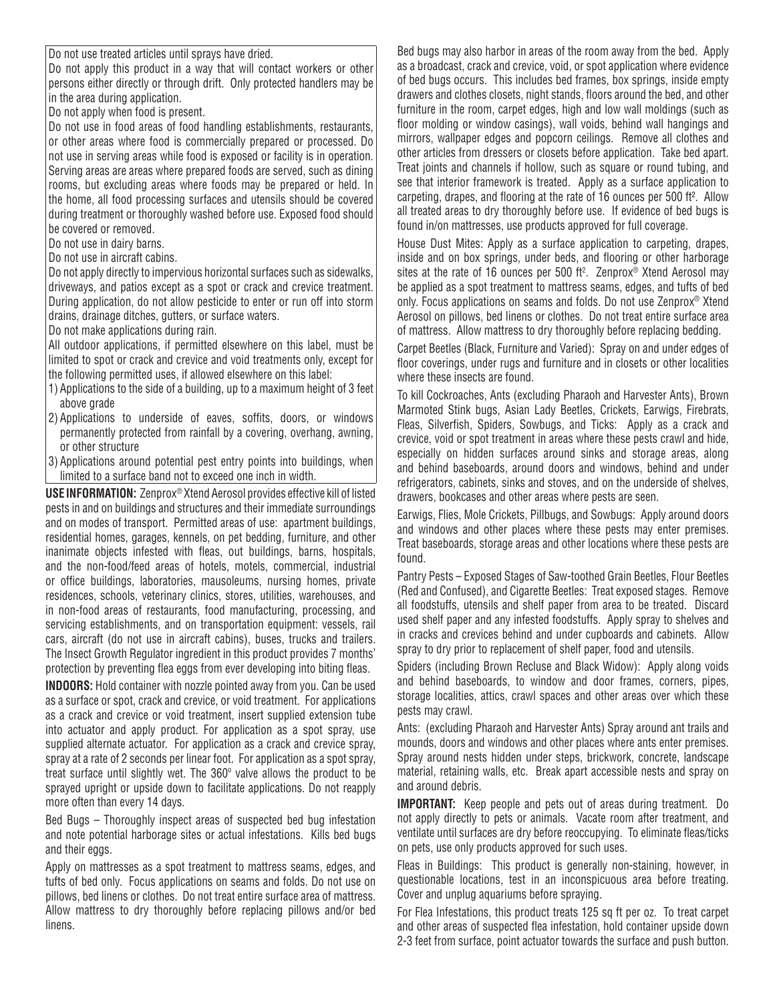Do not use treated articles until sprays have dried.

Do not apply this product in a way that will contact workers or other persons either directly or through drift. Only protected handlers may be in the area during application.

Do not apply when food is present.

Do not use in food areas of food handling establishments, restaurants, or other areas where food is commercially prepared or processed. Do not use in serving areas while food is exposed or facility is in operation. Serving areas are areas where prepared foods are served, such as dining rooms, but excluding areas where foods may be prepared or held. In the home, all food processing surfaces and utensils should be covered during treatment or thoroughly washed before use. Exposed food should be covered or removed.

Do not use in dairy barns.

Do not use in aircraft cabins.

Do not apply directly to impervious horizontal surfaces such as sidewalks, driveways, and patios except as a spot or crack and crevice treatment. During application, do not allow pesticide to enter or run off into storm drains, drainage ditches, gutters, or surface waters.

Do not make applications during rain.

All outdoor applications, if permitted elsewhere on this label, must be limited to spot or crack and crevice and void treatments only, except for the following permitted uses, if allowed elsewhere on this label:

- 1) Applications to the side of a building, up to a maximum height of 3 feet above grade
- 2) Applications to underside of eaves, soffits, doors, or windows permanently protected from rainfall by a covering, overhang, awning, or other structure
- 3) Applications around potential pest entry points into buildings, when limited to a surface band not to exceed one inch in width.

**USE INFORMATION:** Zenprox® Xtend Aerosol provides effective kill of listed pests in and on buildings and structures and their immediate surroundings and on modes of transport. Permitted areas of use: apartment buildings, residential homes, garages, kennels, on pet bedding, furniture, and other inanimate objects infested with fleas, out buildings, barns, hospitals, and the non-food/feed areas of hotels, motels, commercial, industrial or office buildings, laboratories, mausoleums, nursing homes, private residences, schools, veterinary clinics, stores, utilities, warehouses, and in non-food areas of restaurants, food manufacturing, processing, and servicing establishments, and on transportation equipment: vessels, rail cars, aircraft (do not use in aircraft cabins), buses, trucks and trailers. The Insect Growth Regulator ingredient in this product provides 7 months' protection by preventing flea eggs from ever developing into biting fleas.

**INDOORS:** Hold container with nozzle pointed away from you. Can be used as a surface or spot, crack and crevice, or void treatment. For applications as a crack and crevice or void treatment, insert supplied extension tube into actuator and apply product. For application as a spot spray, use supplied alternate actuator. For application as a crack and crevice spray, spray at a rate of 2 seconds per linear foot. For application as a spot spray, treat surface until slightly wet. The 360º valve allows the product to be sprayed upright or upside down to facilitate applications. Do not reapply more often than every 14 days.

Bed Bugs – Thoroughly inspect areas of suspected bed bug infestation and note potential harborage sites or actual infestations. Kills bed bugs and their eggs.

Apply on mattresses as a spot treatment to mattress seams, edges, and tufts of bed only. Focus applications on seams and folds. Do not use on pillows, bed linens or clothes. Do not treat entire surface area of mattress. Allow mattress to dry thoroughly before replacing pillows and/or bed linens.

Bed bugs may also harbor in areas of the room away from the bed. Apply as a broadcast, crack and crevice, void, or spot application where evidence of bed bugs occurs. This includes bed frames, box springs, inside empty drawers and clothes closets, night stands, floors around the bed, and other furniture in the room, carpet edges, high and low wall moldings (such as floor molding or window casings), wall voids, behind wall hangings and mirrors, wallpaper edges and popcorn ceilings. Remove all clothes and other articles from dressers or closets before application. Take bed apart. Treat joints and channels if hollow, such as square or round tubing, and see that interior framework is treated. Apply as a surface application to carpeting, drapes, and flooring at the rate of 16 ounces per 500 ft². Allow all treated areas to dry thoroughly before use. If evidence of bed bugs is found in/on mattresses, use products approved for full coverage.

House Dust Mites: Apply as a surface application to carpeting, drapes, inside and on box springs, under beds, and flooring or other harborage sites at the rate of 16 ounces per 500 ft².  $\,$  Zenprox® Xtend Aerosol may be applied as a spot treatment to mattress seams, edges, and tufts of bed only. Focus applications on seams and folds. Do not use Zenprox® Xtend Aerosol on pillows, bed linens or clothes. Do not treat entire surface area of mattress. Allow mattress to dry thoroughly before replacing bedding.

Carpet Beetles (Black, Furniture and Varied): Spray on and under edges of floor coverings, under rugs and furniture and in closets or other localities where these insects are found.

To kill Cockroaches, Ants (excluding Pharaoh and Harvester Ants), Brown Marmoted Stink bugs, Asian Lady Beetles, Crickets, Earwigs, Firebrats, Fleas, Silverfish, Spiders, Sowbugs, and Ticks: Apply as a crack and crevice, void or spot treatment in areas where these pests crawl and hide, especially on hidden surfaces around sinks and storage areas, along and behind baseboards, around doors and windows, behind and under refrigerators, cabinets, sinks and stoves, and on the underside of shelves, drawers, bookcases and other areas where pests are seen.

Earwigs, Flies, Mole Crickets, Pillbugs, and Sowbugs: Apply around doors and windows and other places where these pests may enter premises. Treat baseboards, storage areas and other locations where these pests are found.

Pantry Pests – Exposed Stages of Saw-toothed Grain Beetles, Flour Beetles (Red and Confused), and Cigarette Beetles: Treat exposed stages. Remove all foodstuffs, utensils and shelf paper from area to be treated. Discard used shelf paper and any infested foodstuffs. Apply spray to shelves and in cracks and crevices behind and under cupboards and cabinets. Allow spray to dry prior to replacement of shelf paper, food and utensils.

Spiders (including Brown Recluse and Black Widow): Apply along voids and behind baseboards, to window and door frames, corners, pipes, storage localities, attics, crawl spaces and other areas over which these pests may crawl.

Ants: (excluding Pharaoh and Harvester Ants) Spray around ant trails and mounds, doors and windows and other places where ants enter premises. Spray around nests hidden under steps, brickwork, concrete, landscape material, retaining walls, etc. Break apart accessible nests and spray on and around debris.

**IMPORTANT:** Keep people and pets out of areas during treatment. Do not apply directly to pets or animals. Vacate room after treatment, and ventilate until surfaces are dry before reoccupying. To eliminate fleas/ticks on pets, use only products approved for such uses.

Fleas in Buildings: This product is generally non-staining, however, in questionable locations, test in an inconspicuous area before treating. Cover and unplug aquariums before spraying.

For Flea Infestations, this product treats 125 sq ft per oz. To treat carpet and other areas of suspected flea infestation, hold container upside down 2-3 feet from surface, point actuator towards the surface and push button.